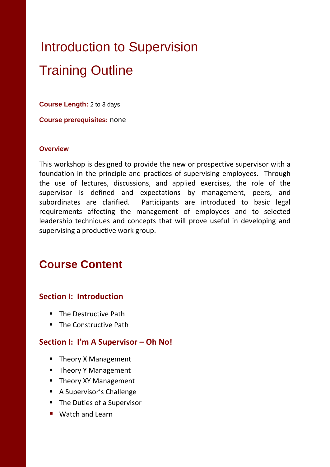# Introduction to Supervision Training Outline

**Course Length:** 2 to 3 days

**Course prerequisites:** none

#### **Overview**

This workshop is designed to provide the new or prospective supervisor with a foundation in the principle and practices of supervising employees. Through the use of lectures, discussions, and applied exercises, the role of the supervisor is defined and expectations by management, peers, and subordinates are clarified. Participants are introduced to basic legal requirements affecting the management of employees and to selected leadership techniques and concepts that will prove useful in developing and supervising a productive work group.

# **Course Content**

#### **Section I: Introduction**

- **The Destructive Path**
- The Constructive Path

#### **Section I: I'm A Supervisor – Oh No!**

- Theory X Management
- **Theory Y Management**
- **Theory XY Management**
- A Supervisor's Challenge
- The Duties of a Supervisor
- Watch and Learn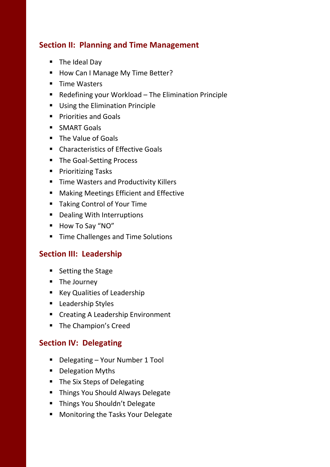# **Section II: Planning and Time Management**

- **The Ideal Day**
- How Can I Manage My Time Better?
- **Time Wasters**
- Redefining your Workload The Elimination Principle
- **Using the Elimination Principle**
- **Priorities and Goals**
- **SMART Goals**
- **The Value of Goals**
- **E.** Characteristics of Effective Goals
- The Goal-Setting Process
- **Prioritizing Tasks**
- **Time Wasters and Productivity Killers**
- **Making Meetings Efficient and Effective**
- Taking Control of Your Time
- Dealing With Interruptions
- How To Say "NO"
- **Time Challenges and Time Solutions**

# **Section III: Leadership**

- Setting the Stage
- **The Journey**
- Key Qualities of Leadership
- **Leadership Styles**
- **EXECTE:** Creating A Leadership Environment
- **The Champion's Creed**

# **Section IV: Delegating**

- Delegating Your Number 1 Tool
- **•** Delegation Myths
- The Six Steps of Delegating
- **Things You Should Always Delegate**
- **Things You Shouldn't Delegate**
- **Monitoring the Tasks Your Delegate**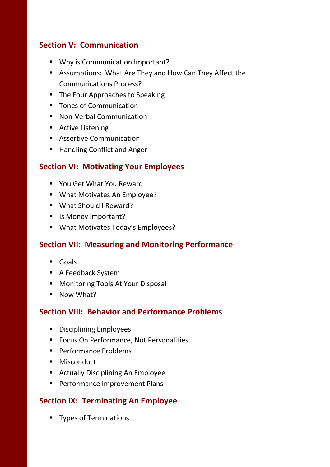# **Section V: Communication**

- Why is Communication Important?
- Assumptions: What Are They and How Can They Affect the Communications Process?
- The Four Approaches to Speaking
- **Tones of Communication**
- **Non-Verbal Communication**
- Active Listening
- **Assertive Communication**
- Handling Conflict and Anger

#### **Section VI: Motivating Your Employees**

- You Get What You Reward
- What Motivates An Employee?
- What Should I Reward?
- **I** Is Money Important?
- **What Motivates Today's Employees?**

#### **Section VII: Measuring and Monitoring Performance**

- Goals
- A Feedback System
- **Monitoring Tools At Your Disposal**
- **Now What?**

#### **Section VIII: Behavior and Performance Problems**

- **•** Disciplining Employees
- **FICUS ON Performance, Not Personalities**
- **Performance Problems**
- **Misconduct**
- **Actually Disciplining An Employee**
- **Performance Improvement Plans**

# **Section IX: Terminating An Employee**

**Types of Terminations**